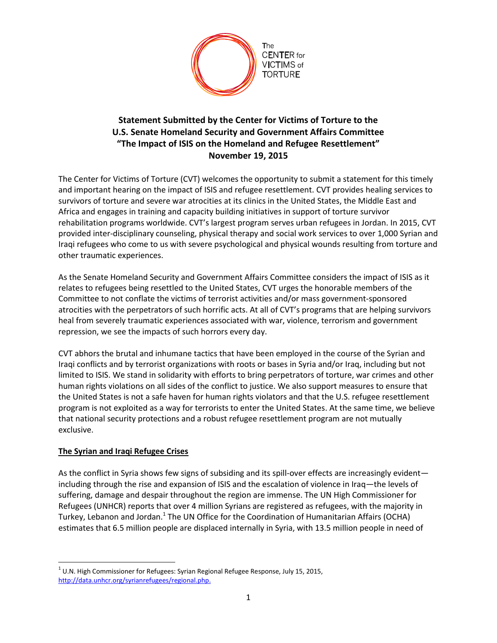

## **Statement Submitted by the Center for Victims of Torture to the U.S. Senate Homeland Security and Government Affairs Committee "The Impact of ISIS on the Homeland and Refugee Resettlement" November 19, 2015**

The Center for Victims of Torture (CVT) welcomes the opportunity to submit a statement for this timely and important hearing on the impact of ISIS and refugee resettlement. CVT provides healing services to survivors of torture and severe war atrocities at its clinics in the United States, the Middle East and Africa and engages in training and capacity building initiatives in support of torture survivor rehabilitation programs worldwide. CVT's largest program serves urban refugees in Jordan. In 2015, CVT provided inter-disciplinary counseling, physical therapy and social work services to over 1,000 Syrian and Iraqi refugees who come to us with severe psychological and physical wounds resulting from torture and other traumatic experiences.

As the Senate Homeland Security and Government Affairs Committee considers the impact of ISIS as it relates to refugees being resettled to the United States, CVT urges the honorable members of the Committee to not conflate the victims of terrorist activities and/or mass government-sponsored atrocities with the perpetrators of such horrific acts. At all of CVT's programs that are helping survivors heal from severely traumatic experiences associated with war, violence, terrorism and government repression, we see the impacts of such horrors every day.

CVT abhors the brutal and inhumane tactics that have been employed in the course of the Syrian and Iraqi conflicts and by terrorist organizations with roots or bases in Syria and/or Iraq, including but not limited to ISIS. We stand in solidarity with efforts to bring perpetrators of torture, war crimes and other human rights violations on all sides of the conflict to justice. We also support measures to ensure that the United States is not a safe haven for human rights violators and that the U.S. refugee resettlement program is not exploited as a way for terrorists to enter the United States. At the same time, we believe that national security protections and a robust refugee resettlement program are not mutually exclusive.

## **The Syrian and Iraqi Refugee Crises**

 $\overline{\phantom{a}}$ 

As the conflict in Syria shows few signs of subsiding and its spill-over effects are increasingly evident including through the rise and expansion of ISIS and the escalation of violence in Iraq—the levels of suffering, damage and despair throughout the region are immense. The UN High Commissioner for Refugees (UNHCR) reports that over 4 million Syrians are registered as refugees, with the majority in Turkey, Lebanon and Jordan.<sup>1</sup> The UN Office for the Coordination of Humanitarian Affairs (OCHA) estimates that 6.5 million people are displaced internally in Syria, with 13.5 million people in need of

 $^1$  U.N. High Commissioner for Refugees: Syrian Regional Refugee Response, July 15, 2015, [http://data.unhcr.org/syrianrefugees/regional.php.](http://data.unhcr.org/syrianrefugees/regional.php)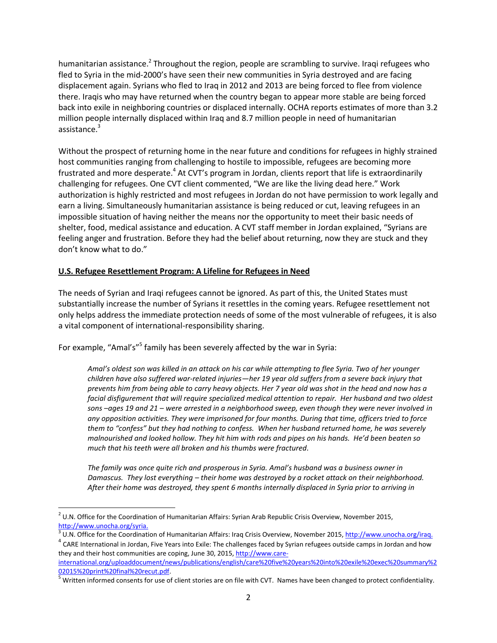humanitarian assistance.<sup>2</sup> Throughout the region, people are scrambling to survive. Iraqi refugees who fled to Syria in the mid-2000's have seen their new communities in Syria destroyed and are facing displacement again. Syrians who fled to Iraq in 2012 and 2013 are being forced to flee from violence there. Iraqis who may have returned when the country began to appear more stable are being forced back into exile in neighboring countries or displaced internally. OCHA reports estimates of more than 3.2 million people internally displaced within Iraq and 8.7 million people in need of humanitarian assistance.<sup>3</sup>

Without the prospect of returning home in the near future and conditions for refugees in highly strained host communities ranging from challenging to hostile to impossible, refugees are becoming more frustrated and more desperate.<sup>4</sup> At CVT's program in Jordan, clients report that life is extraordinarily challenging for refugees. One CVT client commented, "We are like the living dead here." Work authorization is highly restricted and most refugees in Jordan do not have permission to work legally and earn a living. Simultaneously humanitarian assistance is being reduced or cut, leaving refugees in an impossible situation of having neither the means nor the opportunity to meet their basic needs of shelter, food, medical assistance and education. A CVT staff member in Jordan explained, "Syrians are feeling anger and frustration. Before they had the belief about returning, now they are stuck and they don't know what to do."

## **U.S. Refugee Resettlement Program: A Lifeline for Refugees in Need**

The needs of Syrian and Iraqi refugees cannot be ignored. As part of this, the United States must substantially increase the number of Syrians it resettles in the coming years. Refugee resettlement not only helps address the immediate protection needs of some of the most vulnerable of refugees, it is also a vital component of international-responsibility sharing.

For example, "Amal's"<sup>5</sup> family has been severely affected by the war in Syria:

*Amal's oldest son was killed in an attack on his car while attempting to flee Syria. Two of her younger children have also suffered war-related injuries—her 19 year old suffers from a severe back injury that prevents him from being able to carry heavy objects. Her 7 year old was shot in the head and now has a facial disfigurement that will require specialized medical attention to repair. Her husband and two oldest sons –ages 19 and 21 – were arrested in a neighborhood sweep, even though they were never involved in any opposition activities. They were imprisoned for four months. During that time, officers tried to force them to "confess" but they had nothing to confess. When her husband returned home, he was severely malnourished and looked hollow. They hit him with rods and pipes on his hands. He'd been beaten so much that his teeth were all broken and his thumbs were fractured.* 

*The family was once quite rich and prosperous in Syria. Amal's husband was a business owner in Damascus. They lost everything – their home was destroyed by a rocket attack on their neighborhood. After their home was destroyed, they spent 6 months internally displaced in Syria prior to arriving in* 

 $\overline{\phantom{a}}$ 

 $2$  U.N. Office for the Coordination of Humanitarian Affairs: Syrian Arab Republic Crisis Overview, November 2015, [http://www.unocha.org/syria.](http://www.unocha.org/syria) 

<sup>&</sup>lt;sup>3</sup> U.N. Office for the Coordination of Humanitarian Affairs: Iraq Crisis Overview, November 2015[, http://www.unocha.org/iraq.](http://www.unocha.org/iraq)

<sup>&</sup>lt;sup>4</sup> CARE International in Jordan, Five Years into Exile: The challenges faced by Syrian refugees outside camps in Jordan and how they and their host communities are coping, June 30, 2015[, http://www.care-](http://www.care-international.org/uploaddocument/news/publications/english/care%20five%20years%20into%20exile%20exec%20summary%202015%20print%20final%20recut.pdf)

[international.org/uploaddocument/news/publications/english/care%20five%20years%20into%20exile%20exec%20summary%2](http://www.care-international.org/uploaddocument/news/publications/english/care%20five%20years%20into%20exile%20exec%20summary%202015%20print%20final%20recut.pdf) [02015%20print%20final%20recut.pdf.](http://www.care-international.org/uploaddocument/news/publications/english/care%20five%20years%20into%20exile%20exec%20summary%202015%20print%20final%20recut.pdf)

 $5$  Written informed consents for use of client stories are on file with CVT. Names have been changed to protect confidentiality.